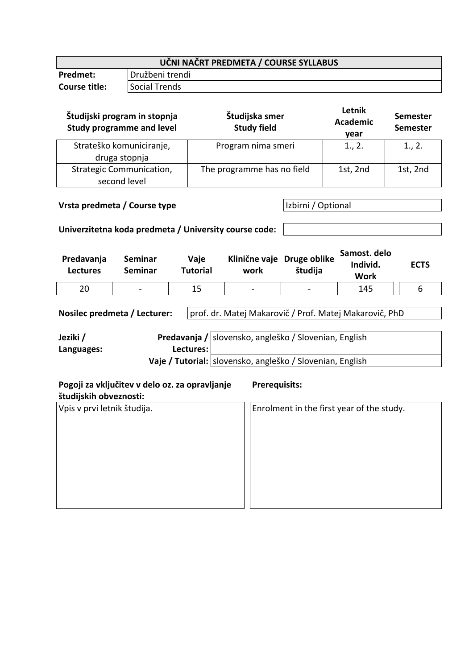| UČNI NAČRT PREDMETA / COURSE SYLLABUS |                 |  |
|---------------------------------------|-----------------|--|
| <b>Predmet:</b>                       | Družbeni trendi |  |
| Course title:                         | l Social Trends |  |
|                                       |                 |  |

| Študijski program in stopnja<br><b>Study programme and level</b> | Študijska smer<br><b>Study field</b> | Letnik<br><b>Academic</b><br>year | <b>Semester</b><br><b>Semester</b> |
|------------------------------------------------------------------|--------------------------------------|-----------------------------------|------------------------------------|
| Strateško komuniciranje,<br>druga stopnja                        | Program nima smeri                   | 1., 2.                            | 1., 2.                             |
| <b>Strategic Communication,</b><br>second level                  | The programme has no field           | 1st, 2nd                          | 1st, 2nd                           |

**Vrsta predmeta / Course type Izbirni / Optional** 

## **Univerzitetna koda predmeta / University course code:**

| Predavanja<br><b>Lectures</b> | Seminar<br>Seminar       | Vaje<br><b>Tutorial</b> | work            | Klinične vaje Druge oblike<br>študija | Samost. delo<br>Individ.<br>Work | <b>ECTS</b> |
|-------------------------------|--------------------------|-------------------------|-----------------|---------------------------------------|----------------------------------|-------------|
| 20                            | $\overline{\phantom{0}}$ |                         | $\qquad \qquad$ | -                                     | 145                              |             |

Nosilec predmeta / Lecturer: prof. dr. Matej Makarovič / Prof. Matej Makarovič, PhD

| Jeziki /   |           | Predavanja / slovensko, angleško / Slovenian, English     |
|------------|-----------|-----------------------------------------------------------|
| Languages: | Lectures: |                                                           |
|            |           | Vaje / Tutorial: slovensko, angleško / Slovenian, English |

| Pogoji za vključitev v delo oz. za opravljanje<br>študijskih obveznosti: | <b>Prerequisits:</b>                      |
|--------------------------------------------------------------------------|-------------------------------------------|
| Vpis v prvi letnik študija.                                              | Enrolment in the first year of the study. |
|                                                                          |                                           |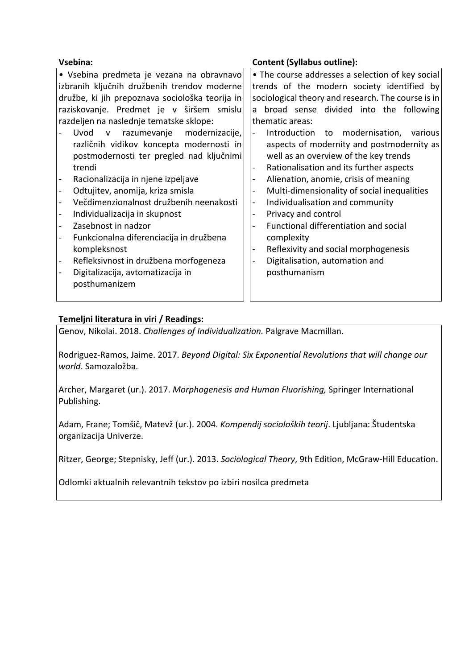| Vsebina:                                                       | <b>Content (Syllabus outline):</b>                                       |
|----------------------------------------------------------------|--------------------------------------------------------------------------|
| • Vsebina predmeta je vezana na obravnavo                      | • The course addresses a selection of key social                         |
| izbranih ključnih družbenih trendov moderne                    | trends of the modern society identified by                               |
| družbe, ki jih prepoznava sociološka teorija in                | sociological theory and research. The course is in                       |
| raziskovanje. Predmet je v širšem smislu                       | broad sense divided into the following<br>a                              |
| razdeljen na naslednje tematske sklope:                        | thematic areas:                                                          |
| Uvod<br>razumevanje<br>modernizacije,<br>$\mathsf{v}$          | Introduction to<br>modernisation,<br>$\overline{\phantom{a}}$<br>various |
| različnih vidikov koncepta modernosti in                       | aspects of modernity and postmodernity as                                |
| postmodernosti ter pregled nad ključnimi                       | well as an overview of the key trends                                    |
| trendi                                                         | Rationalisation and its further aspects<br>$\blacksquare$                |
| Racionalizacija in njene izpeljave<br>$\overline{\phantom{a}}$ | Alienation, anomie, crisis of meaning<br>$\overline{\phantom{0}}$        |
| Odtujitev, anomija, kriza smisla                               | Multi-dimensionality of social inequalities<br>$\blacksquare$            |
| Večdimenzionalnost družbenih neenakosti                        | Individualisation and community<br>$\overline{\phantom{0}}$              |
| Individualizacija in skupnost                                  | Privacy and control<br>$\overline{\phantom{0}}$                          |
| Zasebnost in nadzor<br>$\overline{\phantom{0}}$                | Functional differentiation and social<br>$\overline{\phantom{0}}$        |
| Funkcionalna diferenciacija in družbena<br>$\qquad \qquad -$   | complexity                                                               |
| kompleksnost                                                   | Reflexivity and social morphogenesis<br>$\overline{\phantom{0}}$         |
| Refleksivnost in družbena morfogeneza                          | Digitalisation, automation and<br>$\qquad \qquad -$                      |
| Digitalizacija, avtomatizacija in<br>$\blacksquare$            | posthumanism                                                             |
| posthumanizem                                                  |                                                                          |
|                                                                |                                                                          |

## **Temeljni literatura in viri / Readings:**

Genov, Nikolai. 2018. *Challenges of Individualization.* Palgrave Macmillan.

Rodriguez-Ramos, Jaime. 2017. *Beyond Digital: Six Exponential Revolutions that will change our world*. Samozaložba.

Archer, Margaret (ur.). 2017. *Morphogenesis and Human Fluorishing,* Springer International Publishing.

Adam, Frane; Tomšič, Matevž (ur.). 2004. *Kompendij socioloških teorij*. Ljubljana: Študentska organizacija Univerze.

Ritzer, George; Stepnisky, Jeff (ur.). 2013. *Sociological Theory*, 9th Edition, McGraw-Hill Education.

Odlomki aktualnih relevantnih tekstov po izbiri nosilca predmeta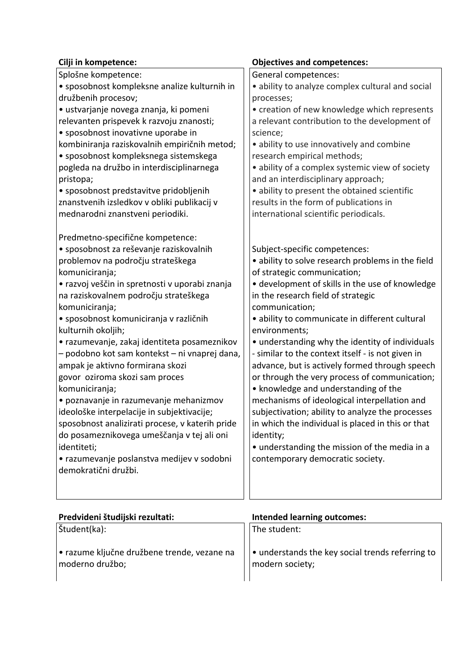| Cilji in kompetence:                            | <b>Objectives and competences:</b>                |
|-------------------------------------------------|---------------------------------------------------|
| Splošne kompetence:                             | General competences:                              |
| · sposobnost kompleksne analize kulturnih in    | · ability to analyze complex cultural and social  |
| družbenih procesov;                             | processes;                                        |
| · ustvarjanje novega znanja, ki pomeni          | • creation of new knowledge which represents      |
| relevanten prispevek k razvoju znanosti;        | a relevant contribution to the development of     |
| • sposobnost inovativne uporabe in              | science;                                          |
| kombiniranja raziskovalnih empiričnih metod;    | · ability to use innovatively and combine         |
| · sposobnost kompleksnega sistemskega           | research empirical methods;                       |
| pogleda na družbo in interdisciplinarnega       | · ability of a complex systemic view of society   |
| pristopa;                                       | and an interdisciplinary approach;                |
| • sposobnost predstavitve pridobljenih          | • ability to present the obtained scientific      |
| znanstvenih izsledkov v obliki publikacij v     | results in the form of publications in            |
| mednarodni znanstveni periodiki.                | international scientific periodicals.             |
| Predmetno-specifične kompetence:                |                                                   |
| · sposobnost za reševanje raziskovalnih         | Subject-specific competences:                     |
| problemov na področju strateškega               | · ability to solve research problems in the field |
| komuniciranja;                                  | of strategic communication;                       |
| • razvoj veščin in spretnosti v uporabi znanja  | • development of skills in the use of knowledge   |
| na raziskovalnem področju strateškega           | in the research field of strategic                |
| komuniciranja;                                  | communication;                                    |
| · sposobnost komuniciranja v različnih          | · ability to communicate in different cultural    |
| kulturnih okoljih;                              | environments;                                     |
| • razumevanje, zakaj identiteta posameznikov    | • understanding why the identity of individuals   |
| - podobno kot sam kontekst - ni vnaprej dana,   | - similar to the context itself - is not given in |
| ampak je aktivno formirana skozi                | advance, but is actively formed through speech    |
| govor oziroma skozi sam proces                  | or through the very process of communication;     |
| komuniciranja;                                  | • knowledge and understanding of the              |
| · poznavanje in razumevanje mehanizmov          | mechanisms of ideological interpellation and      |
| ideološke interpelacije in subjektivacije;      | subjectivation; ability to analyze the processes  |
| sposobnost analizirati procese, v katerih pride | in which the individual is placed in this or that |
| do posameznikovega umeščanja v tej ali oni      | identity;                                         |
| identiteti;                                     | • understanding the mission of the media in a     |
| • razumevanje poslanstva medijev v sodobni      | contemporary democratic society.                  |
| demokratični družbi.                            |                                                   |
|                                                 |                                                   |
|                                                 |                                                   |

| Predvideni študijski rezultati:                                | <b>Intended learning outcomes:</b>                                  |
|----------------------------------------------------------------|---------------------------------------------------------------------|
| Študent(ka):                                                   | The student:                                                        |
| · razume ključne družbene trende, vezane na<br>moderno družbo; | . understands the key social trends referring to<br>modern society; |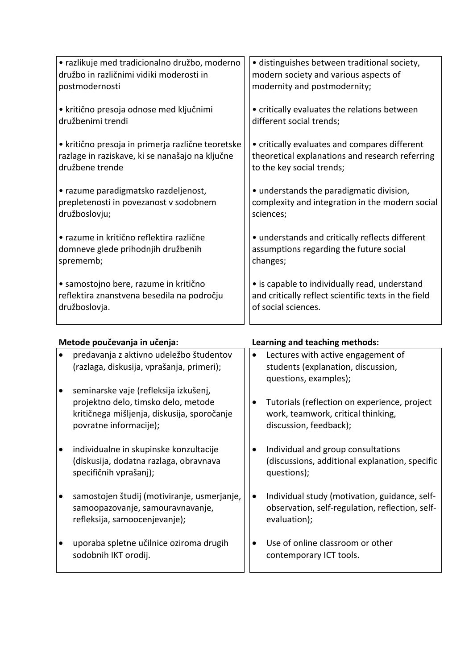| • razlikuje med tradicionalno družbo, moderno     | • distinguishes between traditional society,         |
|---------------------------------------------------|------------------------------------------------------|
| družbo in različnimi vidiki moderosti in          | modern society and various aspects of                |
| postmodernosti                                    | modernity and postmodernity;                         |
| • kritično presoja odnose med ključnimi           | • critically evaluates the relations between         |
| družbenimi trendi                                 | different social trends;                             |
| • kritično presoja in primerja različne teoretske | • critically evaluates and compares different        |
| razlage in raziskave, ki se nanašajo na ključne   | theoretical explanations and research referring      |
| družbene trende                                   | to the key social trends;                            |
| • razume paradigmatsko razdeljenost,              | • understands the paradigmatic division,             |
| prepletenosti in povezanost v sodobnem            | complexity and integration in the modern social      |
| družboslovju;                                     | sciences;                                            |
| · razume in kritično reflektira različne          | • understands and critically reflects different      |
| domneve glede prihodnjih družbenih                | assumptions regarding the future social              |
| sprememb;                                         | changes;                                             |
| • samostojno bere, razume in kritično             | • is capable to individually read, understand        |
| reflektira znanstvena besedila na področju        | and critically reflect scientific texts in the field |
| družboslovja.                                     | of social sciences.                                  |
|                                                   |                                                      |

| Metode poučevanja in učenja: |                                                                                                                                                       | Learning and teaching methods: |                                                                                                                  |
|------------------------------|-------------------------------------------------------------------------------------------------------------------------------------------------------|--------------------------------|------------------------------------------------------------------------------------------------------------------|
|                              | predavanja z aktivno udeležbo študentov<br>(razlaga, diskusija, vprašanja, primeri);                                                                  | $\bullet$                      | Lectures with active engagement of<br>students (explanation, discussion,<br>questions, examples);                |
|                              | seminarske vaje (refleksija izkušenj,<br>projektno delo, timsko delo, metode<br>kritičnega mišljenja, diskusija, sporočanje<br>povratne informacije); | ٠                              | Tutorials (reflection on experience, project<br>work, teamwork, critical thinking,<br>discussion, feedback);     |
| $\bullet$                    | individualne in skupinske konzultacije<br>(diskusija, dodatna razlaga, obravnava<br>specifičnih vprašanj);                                            | ٠                              | Individual and group consultations<br>(discussions, additional explanation, specific<br>questions);              |
|                              | samostojen študij (motiviranje, usmerjanje,<br>samoopazovanje, samouravnavanje,<br>refleksija, samoocenjevanje);                                      | $\bullet$                      | Individual study (motivation, guidance, self-<br>observation, self-regulation, reflection, self-<br>evaluation); |
|                              | uporaba spletne učilnice oziroma drugih<br>sodobnih IKT orodij.                                                                                       |                                | Use of online classroom or other<br>contemporary ICT tools.                                                      |